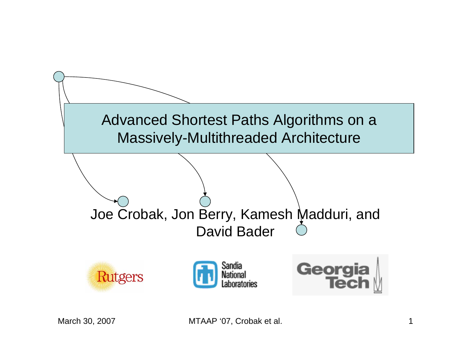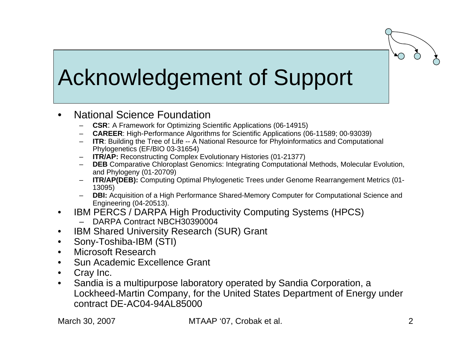## Acknowledgement of Support

- • National Science Foundation –
	- **CSR**: A Framework for Optimizing Scientific Applications (06-14915)
	- –**CAREER**: High-Performance Algorithms for Scientific Applications (06-11589; 00-93039)
	- **ITR:** Building the Tree of Life -- A National Resource for Phyloinformatics and Computational Phylogenetics (EF/BIO 03-31654)
	- –**ITR/AP:** Reconstructing Complex Evolutionary Histories (01-21377)
	- **DEB** Comparative Chloroplast Genomics: Integrating Computational Methods, Molecular Evolution, and Phylogeny (01-20709)
	- –**ITR/AP(DEB):** Computing Optimal Phylogenetic Trees under Genome Rearrangement Metrics (01-13095)
	- –**DBI:** Acquisition of a High Performance Shared-Memory Computer for Computational Science and Engineering (04-20513).
- $\bullet$  IBM PERCS / DARPA High Productivity Computing Systems (HPCS)
	- –DARPA Contract NBCH30390004
- $\bullet$ IBM Shared University Research (SUR) Grant
- •Sony-Toshiba-IBM (STI)
- •Microsoft Research
- •Sun Academic Excellence Grant
- $\bullet$ Cray Inc.
- $\bullet$  Sandia is a multipurpose laboratory operated by Sandia Corporation, a Lockheed-Martin Company, for the United States Department of Energy under contract DE-AC04-94AL85000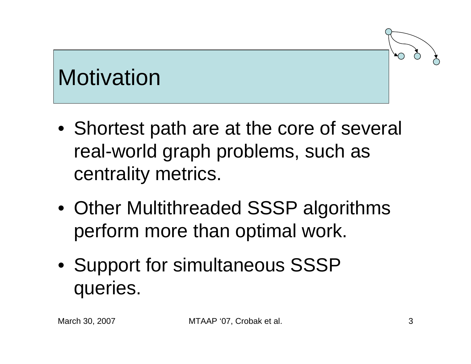## **Motivation**

- Shortest path are at the core of several real-world graph problems, such as centrality metrics.
- Other Multithreaded SSSP algorithms perform more than optimal work.
- Support for simultaneous SSSP queries.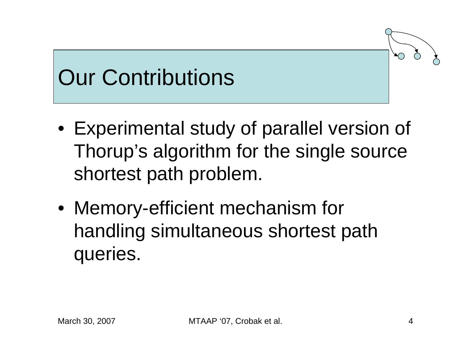## Our Contributions

- Experimental study of parallel version of Thorup's algorithm for the single source shortest path problem.
- Memory-efficient mechanism for handling simultaneous shortest path queries.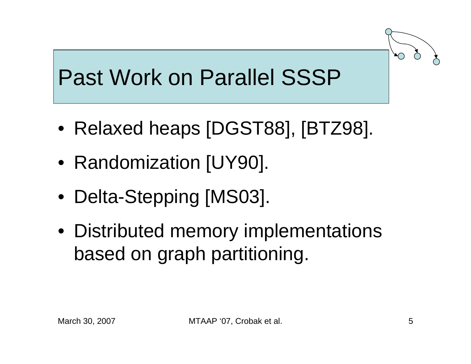## Past Work on Parallel SSSP

- Relaxed heaps [DGST88], [BTZ98].
- Randomization [UY90].
- Delta-Stepping [MS03].
- Distributed memory implementations based on graph partitioning.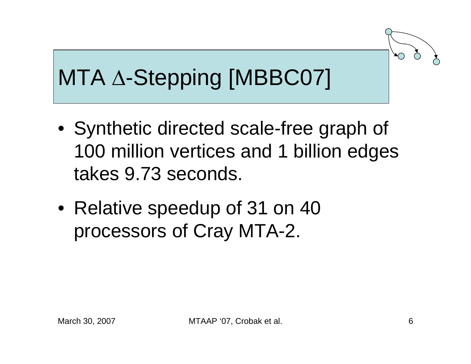# MTA Δ-Stepping [MBBC07]

- Synthetic directed scale-free graph of 100 million vertices and 1 billion edges takes 9.73 seconds.
- Relative speedup of 31 on 40 processors of Cray MTA-2.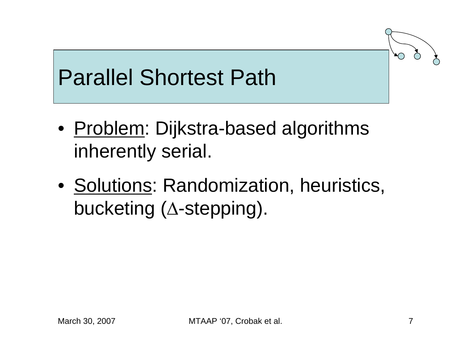### Parallel Shortest Path

- <u>Problem</u>: Dijkstra-based algorithms inherently serial.
- Solutions: Randomization, heuristics, bucketing ( Δ-stepping).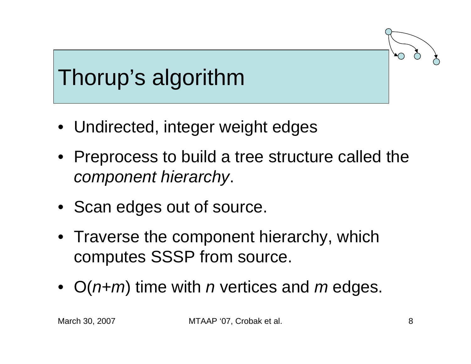# Thorup's algorithm

- Undirected, integer weight edges
- Preprocess to build a tree structure called the *component hierarchy*.
- Scan edges out of source.
- Traverse the component hierarchy, which computes SSSP from source.
- O(*n+m*) time with *n* vertices and *m* edges.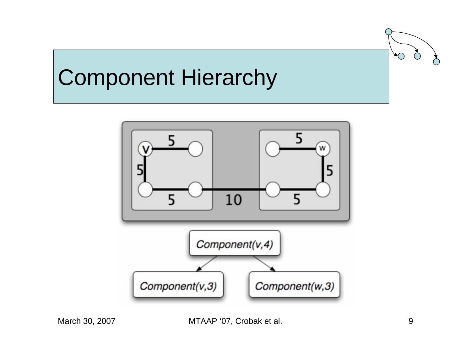#### Component Hierarchy

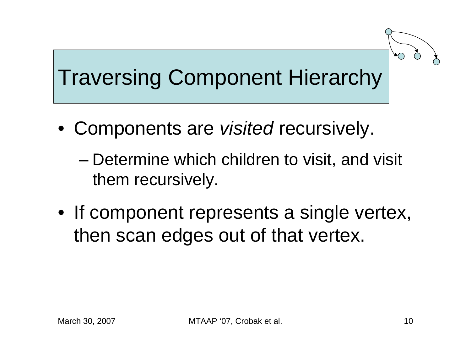## Traversing Component Hierarchy

- Components are *visited* recursively.
	- – Determine which children to visit, and visit them recursively.
- If component represents a single vertex, then scan edges out of that vertex.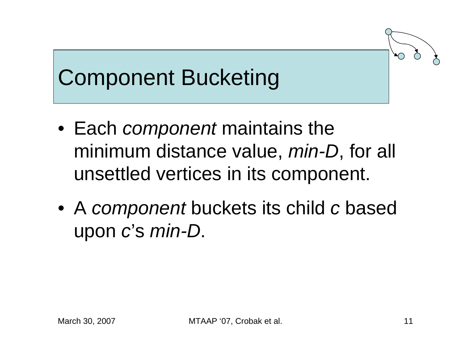## Component Bucketing

- Each *component* maintains the minimum distance value, *min-D*, for all unsettled vertices in its component.
- A *component* buckets its child *c* based upon *c*'s *min-D*.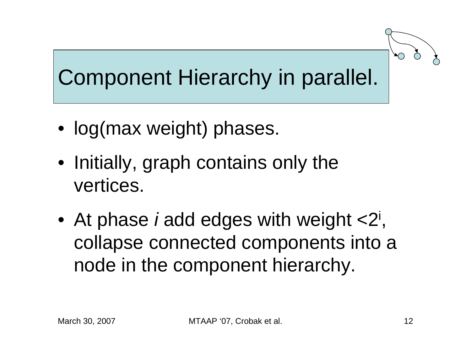

## Component Hierarchy in parallel.

- log(max weight) phases.
- Initially, graph contains only the vertices.
- At phase *i* add edges with weight <2<sup>i</sup>, collapse connected components into a node in the component hierarchy.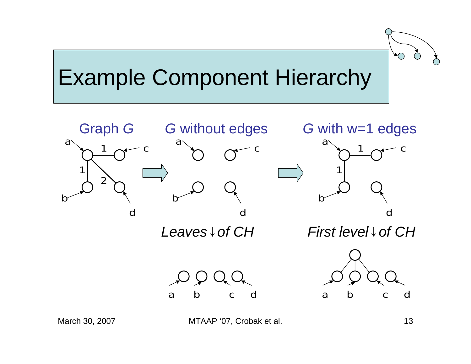### Example Component Hierarchy



March 30, 2007 **MTAAP '07, Crobak et al.** 13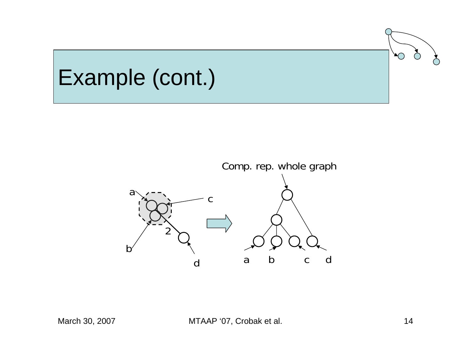#### Example (cont.)

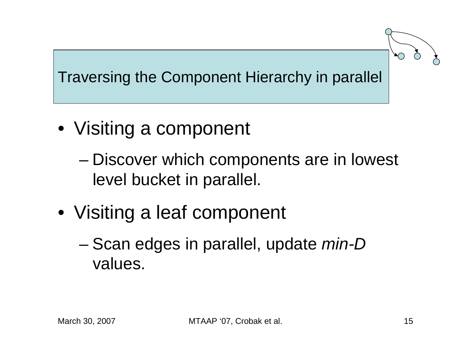#### Traversing the Component Hierarchy in parallel

- Visiting a component
	- – Discover which components are in lowest level bucket in parallel.
- Visiting a leaf component
	- – Scan edges in parallel, update *min-D* values.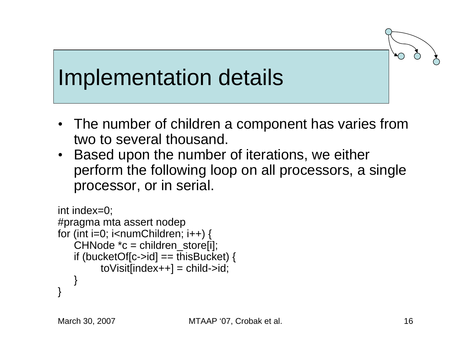### Implementation details

- The number of children a component has varies from two to several thousand.
- Based upon the number of iterations, we either perform the following loop on all processors, a single processor, or in serial.

```
int index=0; 
#pragma mta assert nodep
for (int i=0; i<numChildren; i++) {
   CHNode {}^*c = children_store[i];
   if (bucketOf[c->id] == thisBucket) { 
         toVisif[index++] = child-> id;} 
}
```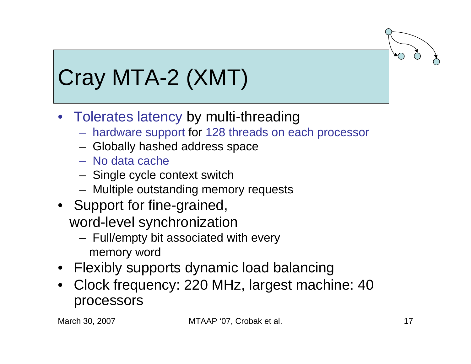## Cray MTA-2 (XMT)

- Tolerates latency by multi-threading
	- hardware support for 128 threads on each processor
	- Globally hashed address space
	- No data cache
	- Single cycle context switch
	- –Multiple outstanding memory requests
- Support for fine-grained, word-level synchronization
	- Full/empty bit associated with every memory word
- Flexibly supports dynamic load balancing
- Clock frequency: 220 MHz, largest machine: 40 processors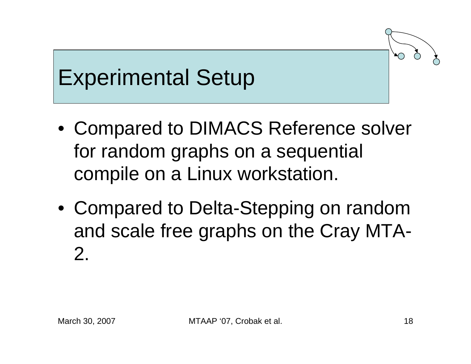## Experimental Setup

- Compared to DIMACS Reference solver for random graphs on a sequential compile on a Linux workstation.
- Compared to Delta-Stepping on random and scale free graphs on the Cray MTA-2.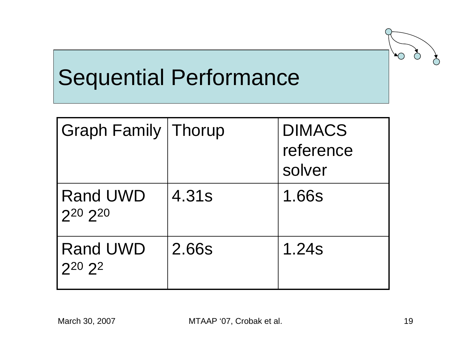## Sequential Performance

| <b>Graph Family Thorup</b> |       | <b>DIMACS</b><br>reference<br>solver |
|----------------------------|-------|--------------------------------------|
| <b>Rand UWD</b><br>220 220 | 4.31s | 1.66s                                |
| <b>Rand UWD</b><br>220 22  | 2.66s | 1.24s                                |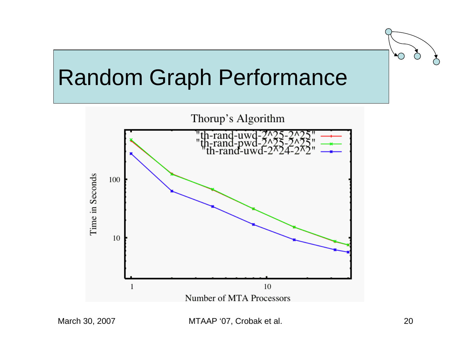#### Random Graph Performance

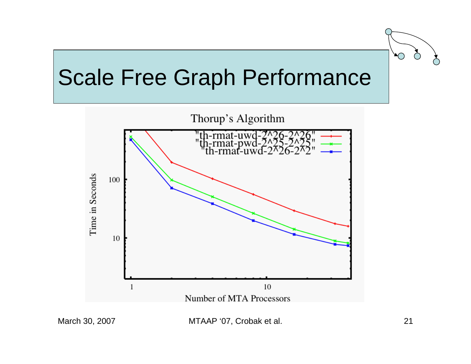### Scale Free Graph Performance

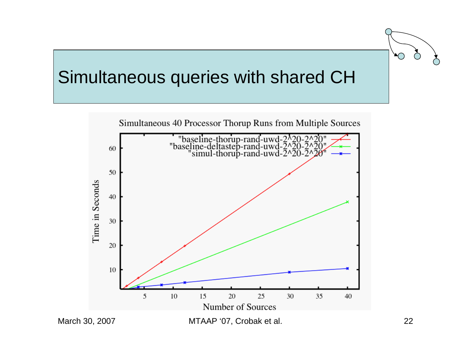#### Simultaneous queries with shared CH

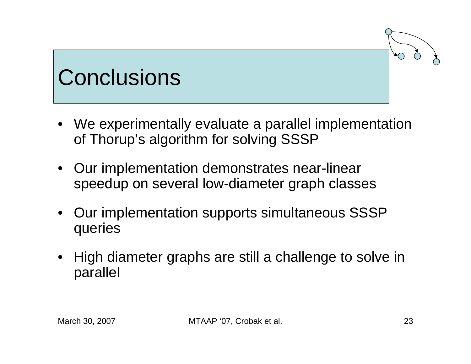## **Conclusions**

- We experimentally evaluate a parallel implementation of Thorup's algorithm for solving SSSP
- Our implementation demonstrates near-linear speedup on several low-diameter graph classes
- $\bullet$  Our implementation supports simultaneous SSSP queries
- $\bullet$  High diameter graphs are still a challenge to solve in parallel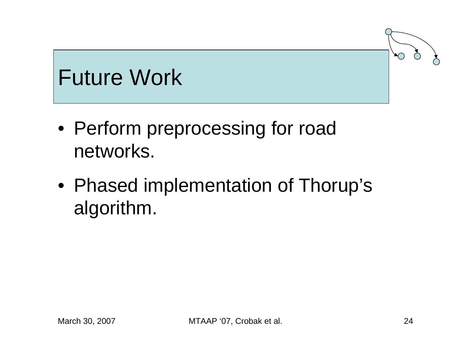### Future Work

- Perform preprocessing for road networks.
- Phased implementation of Thorup's algorithm.